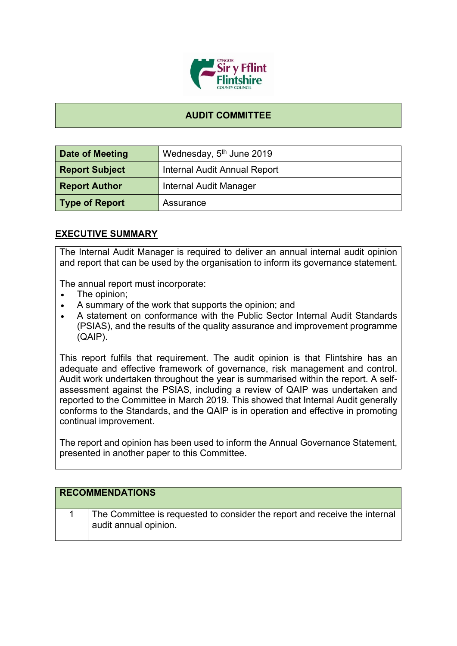

## **AUDIT COMMITTEE**

| Date of Meeting       | Wednesday, 5 <sup>th</sup> June 2019 |
|-----------------------|--------------------------------------|
| <b>Report Subject</b> | <b>Internal Audit Annual Report</b>  |
| <b>Report Author</b>  | <b>Internal Audit Manager</b>        |
| <b>Type of Report</b> | Assurance                            |

## **EXECUTIVE SUMMARY**

The Internal Audit Manager is required to deliver an annual internal audit opinion and report that can be used by the organisation to inform its governance statement.

The annual report must incorporate:

- The opinion;
- A summary of the work that supports the opinion; and
- A statement on conformance with the Public Sector Internal Audit Standards (PSIAS), and the results of the quality assurance and improvement programme (QAIP).

This report fulfils that requirement. The audit opinion is that Flintshire has an adequate and effective framework of governance, risk management and control. Audit work undertaken throughout the year is summarised within the report. A selfassessment against the PSIAS, including a review of QAIP was undertaken and reported to the Committee in March 2019. This showed that Internal Audit generally conforms to the Standards, and the QAIP is in operation and effective in promoting continual improvement.

The report and opinion has been used to inform the Annual Governance Statement, presented in another paper to this Committee.

| <b>RECOMMENDATIONS</b>                                                                              |
|-----------------------------------------------------------------------------------------------------|
| The Committee is requested to consider the report and receive the internal<br>audit annual opinion. |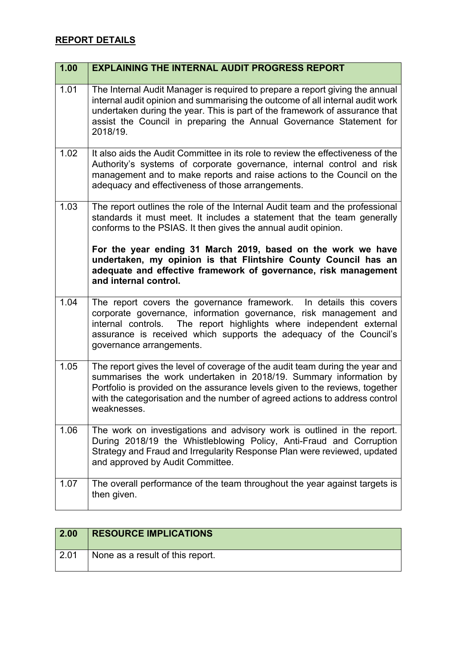## **REPORT DETAILS**

| 1.00 | <b>EXPLAINING THE INTERNAL AUDIT PROGRESS REPORT</b>                                                                                                                                                                                                                                                                            |
|------|---------------------------------------------------------------------------------------------------------------------------------------------------------------------------------------------------------------------------------------------------------------------------------------------------------------------------------|
| 1.01 | The Internal Audit Manager is required to prepare a report giving the annual<br>internal audit opinion and summarising the outcome of all internal audit work<br>undertaken during the year. This is part of the framework of assurance that<br>assist the Council in preparing the Annual Governance Statement for<br>2018/19. |
| 1.02 | It also aids the Audit Committee in its role to review the effectiveness of the<br>Authority's systems of corporate governance, internal control and risk<br>management and to make reports and raise actions to the Council on the<br>adequacy and effectiveness of those arrangements.                                        |
| 1.03 | The report outlines the role of the Internal Audit team and the professional<br>standards it must meet. It includes a statement that the team generally<br>conforms to the PSIAS. It then gives the annual audit opinion.                                                                                                       |
|      | For the year ending 31 March 2019, based on the work we have<br>undertaken, my opinion is that Flintshire County Council has an<br>adequate and effective framework of governance, risk management<br>and internal control.                                                                                                     |
| 1.04 | The report covers the governance framework. In details this covers<br>corporate governance, information governance, risk management and<br>internal controls. The report highlights where independent external<br>assurance is received which supports the adequacy of the Council's<br>governance arrangements.                |
| 1.05 | The report gives the level of coverage of the audit team during the year and<br>summarises the work undertaken in 2018/19. Summary information by<br>Portfolio is provided on the assurance levels given to the reviews, together<br>with the categorisation and the number of agreed actions to address control<br>weaknesses. |
| 1.06 | The work on investigations and advisory work is outlined in the report.<br>During 2018/19 the Whistleblowing Policy, Anti-Fraud and Corruption<br>Strategy and Fraud and Irregularity Response Plan were reviewed, updated<br>and approved by Audit Committee.                                                                  |
| 1.07 | The overall performance of the team throughout the year against targets is<br>then given.                                                                                                                                                                                                                                       |

| $\vert$ 2.00 | <b>RESOURCE IMPLICATIONS</b>     |
|--------------|----------------------------------|
| $\vert 2.01$ | None as a result of this report. |